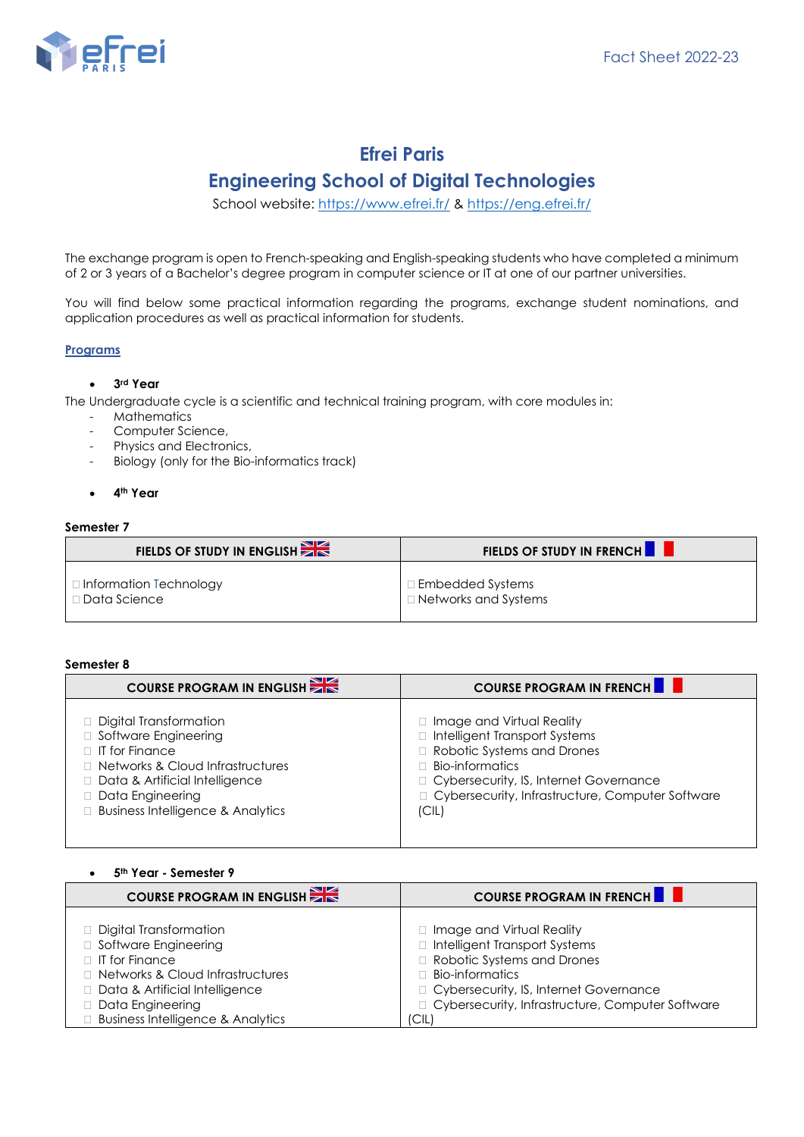

# **Efrei Paris Engineering School of Digital Technologies**

School website: <https://www.efrei.fr/> & <https://eng.efrei.fr/>

The exchange program is open to French-speaking and English-speaking students who have completed a minimum of 2 or 3 years of a Bachelor's degree program in computer science or IT at one of our partner universities.

You will find below some practical information regarding the programs, exchange student nominations, and application procedures as well as practical information for students.

# **Programs**

# • **3rd Year**

The Undergraduate cycle is a scientific and technical training program, with core modules in:

- **Mathematics**
- Computer Science,
- Physics and Electronics,
- Biology (only for the Bio-informatics track)
- **4th Year**

#### **Semester 7**

| FIELDS OF STUDY IN ENGLISH | <b>FIELDS OF STUDY IN FRENCH F</b> |
|----------------------------|------------------------------------|
| □ Information Technology   | $\Box$ Embedded Systems            |
| □ Data Science             | □ Networks and Systems             |

### **Semester 8**

| <b>COURSE PROGRAM IN ENGLISH</b>             | <b>COURSE PROGRAM IN FRENCHION</b>                 |
|----------------------------------------------|----------------------------------------------------|
| $\Box$ Digital Transformation                | □ Image and Virtual Reality                        |
| □ Software Engineering                       | Intelligent Transport Systems                      |
| $\Box$ IT for Finance                        | Robotic Systems and Drones                         |
| $\Box$ Networks & Cloud Infrastructures      | Bio-informatics                                    |
| Data & Artificial Intelligence               | $\Box$ Cybersecurity, IS, Internet Governance      |
| Data Engineering                             | □ Cybersecurity, Infrastructure, Computer Software |
| <b>Business Intelligence &amp; Analytics</b> | C                                                  |

#### • **5 th Year - Semester 9**

| <b>COURSE PROGRAM IN ENGLISH</b>             | <b>COURSE PROGRAM IN FRENCHILITY</b>               |
|----------------------------------------------|----------------------------------------------------|
| $\Box$ Digital Transformation                | Image and Virtual Reality                          |
| □ Software Engineering                       | Intelligent Transport Systems                      |
| $\Box$ IT for Finance                        | Robotic Systems and Drones                         |
| □ Networks & Cloud Infrastructures           | $\Box$ Bio-informatics                             |
| Data & Artificial Intelligence               | □ Cybersecurity, IS, Internet Governance           |
| Data Engineering                             | □ Cybersecurity, Infrastructure, Computer Software |
| <b>Business Intelligence &amp; Analytics</b> | C                                                  |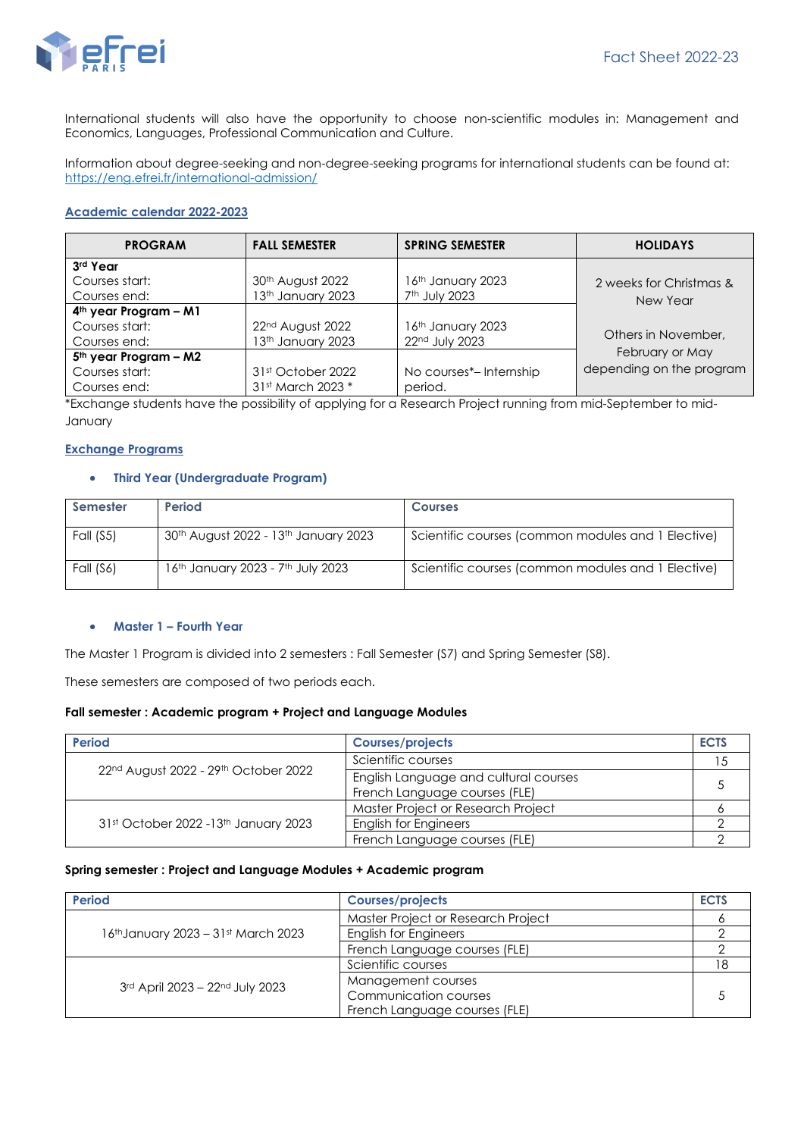

International students will also have the opportunity to choose non-scientific modules in: Management and Economics, Languages, Professional Communication and Culture.

Information about degree-seeking and non-degree-seeking programs for international students can be found at: <https://eng.efrei.fr/international-admission/>

### **Academic calendar 2022-2023**

| <b>PROGRAM</b>                                                      | <b>FALL SEMESTER</b>                               | <b>SPRING SEMESTER</b>                         | <b>HOLIDAYS</b>                             |
|---------------------------------------------------------------------|----------------------------------------------------|------------------------------------------------|---------------------------------------------|
| 3rd Year<br>Courses start:<br>Courses end:                          | 30th August 2022<br>13th January 2023              | 16th January 2023<br>7 <sup>th</sup> July 2023 | 2 weeks for Christmas &<br>New Year         |
| 4 <sup>th</sup> year Program - M1<br>Courses start:<br>Courses end: | 22 <sup>nd</sup> August 2022<br>13th January 2023  | 16th January 2023<br>22nd July 2023            | Others in November.                         |
| 5 <sup>th</sup> year Program - M2<br>Courses start:<br>Courses end: | 31 <sup>st</sup> October 2022<br>31st March 2023 * | No courses*-Internship<br>period.              | February or May<br>depending on the program |

\*Exchange students have the possibility of applying for a Research Project running from mid-September to mid-January

# **Exchange Programs**

# • **Third Year (Undergraduate Program)**

| Semester  | Period                               | <b>Courses</b>                                     |
|-----------|--------------------------------------|----------------------------------------------------|
| Fall (S5) | 30th August 2022 - 13th January 2023 | Scientific courses (common modules and 1 Elective) |
| Fall (S6) | 16th January 2023 - 7th July 2023    | Scientific courses (common modules and 1 Elective) |

#### • **Master 1 – Fourth Year**

The Master 1 Program is divided into 2 semesters : Fall Semester (S7) and Spring Semester (S8).

These semesters are composed of two periods each.

#### **Fall semester : Academic program + Project and Language Modules**

| <b>Period</b>                         | <b>Courses/projects</b>                                                | <b>ECTS</b> |
|---------------------------------------|------------------------------------------------------------------------|-------------|
| 22nd August 2022 - 29th October 2022  | Scientific courses                                                     |             |
|                                       | English Language and cultural courses<br>French Language courses (FLE) |             |
| 31st October 2022 - 13th January 2023 | Master Project or Research Project                                     |             |
|                                       | <b>English for Engineers</b>                                           |             |
|                                       | French Language courses (FLE)                                          |             |

#### **Spring semester : Project and Language Modules + Academic program**

| <b>Period</b>                       | <b>Courses/projects</b>            | <b>ECTS</b> |
|-------------------------------------|------------------------------------|-------------|
| 16th January 2023 - 31st March 2023 | Master Project or Research Project |             |
|                                     | <b>English for Engineers</b>       |             |
|                                     | French Language courses (FLE)      |             |
| 3rd April 2023 - 22nd July 2023     | Scientific courses                 |             |
|                                     | Management courses                 |             |
|                                     | Communication courses              |             |
|                                     | French Language courses (FLE)      |             |